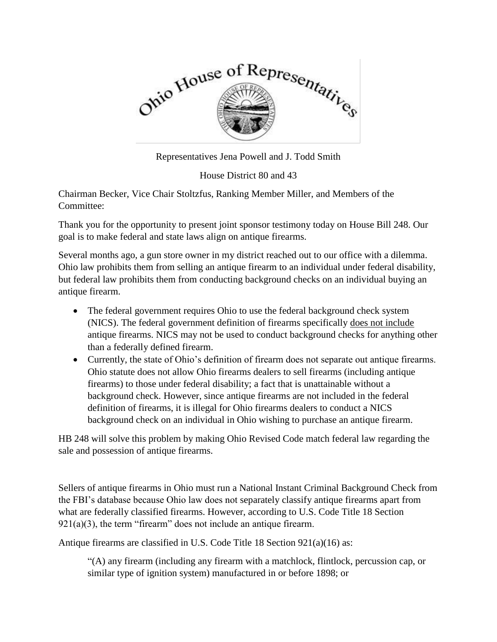

Representatives Jena Powell and J. Todd Smith

House District 80 and 43

Chairman Becker, Vice Chair Stoltzfus, Ranking Member Miller, and Members of the Committee:

Thank you for the opportunity to present joint sponsor testimony today on House Bill 248. Our goal is to make federal and state laws align on antique firearms.

Several months ago, a gun store owner in my district reached out to our office with a dilemma. Ohio law prohibits them from selling an antique firearm to an individual under federal disability, but federal law prohibits them from conducting background checks on an individual buying an antique firearm.

- The federal government requires Ohio to use the federal background check system (NICS). The federal government definition of firearms specifically does not include antique firearms. NICS may not be used to conduct background checks for anything other than a federally defined firearm.
- Currently, the state of Ohio's definition of firearm does not separate out antique firearms. Ohio statute does not allow Ohio firearms dealers to sell firearms (including antique firearms) to those under federal disability; a fact that is unattainable without a background check. However, since antique firearms are not included in the federal definition of firearms, it is illegal for Ohio firearms dealers to conduct a NICS background check on an individual in Ohio wishing to purchase an antique firearm.

HB 248 will solve this problem by making Ohio Revised Code match federal law regarding the sale and possession of antique firearms.

Sellers of antique firearms in Ohio must run a National Instant Criminal Background Check from the FBI's database because Ohio law does not separately classify antique firearms apart from what are federally classified firearms. However, according to U.S. Code Title 18 Section  $921(a)(3)$ , the term "firearm" does not include an antique firearm.

Antique firearms are classified in U.S. Code Title 18 Section 921(a)(16) as:

"(A) any firearm (including any firearm with a matchlock, flintlock, percussion cap, or similar type of ignition system) manufactured in or before 1898; or